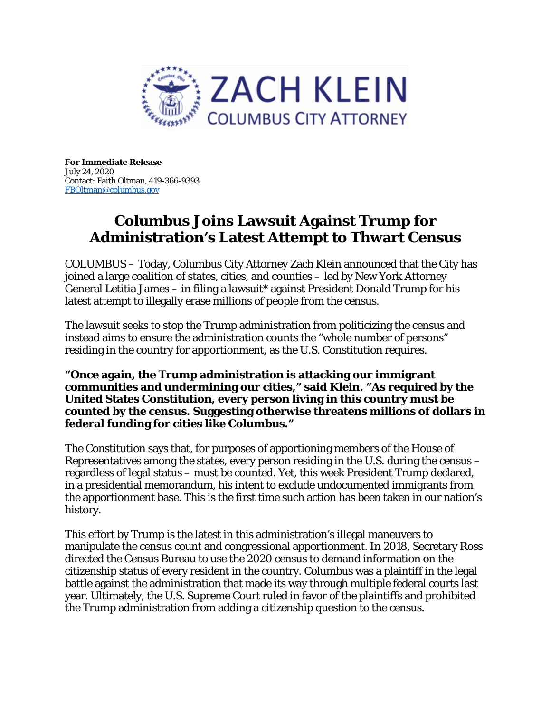

**For Immediate Release**  July 24, 2020 Contact: Faith Oltman, 419-366-9393 [FBOltman@columbus.gov](mailto:FBOltman@columbus.gov)

## **Columbus Joins Lawsuit Against Trump for Administration's Latest Attempt to Thwart Census**

COLUMBUS – Today, Columbus City Attorney Zach Klein announced that the City has joined a large coalition of states, cities, and counties – led by New York Attorney General Letitia James – in filing a lawsuit\* against President Donald Trump for his latest attempt to illegally erase millions of people from the census.

The lawsuit seeks to stop the Trump administration from politicizing the census and instead aims to ensure the administration counts the "whole number of persons" residing in the country for apportionment, as the U.S. Constitution requires.

**"Once again, the Trump administration is attacking our immigrant communities and undermining our cities," said Klein. "As required by the United States Constitution, every person living in this country must be counted by the census. Suggesting otherwise threatens millions of dollars in federal funding for cities like Columbus."**

The Constitution says that, for purposes of apportioning members of the House of Representatives among the states, every person residing in the U.S. during the census – regardless of legal status – must be counted. Yet, this week President Trump declared, in a presidential memorandum, his intent to exclude undocumented immigrants from the apportionment base. This is the first time such action has been taken in our nation's history.

This effort by Trump is the latest in this administration's illegal maneuvers to manipulate the census count and congressional apportionment. In 2018, Secretary Ross directed the Census Bureau to use the 2020 census to demand information on the citizenship status of every resident in the country. Columbus was a plaintiff in the legal battle against the administration that made its way through multiple federal courts last year. Ultimately, the U.S. Supreme Court ruled in favor of the plaintiffs and prohibited the Trump administration from adding a citizenship question to the census.